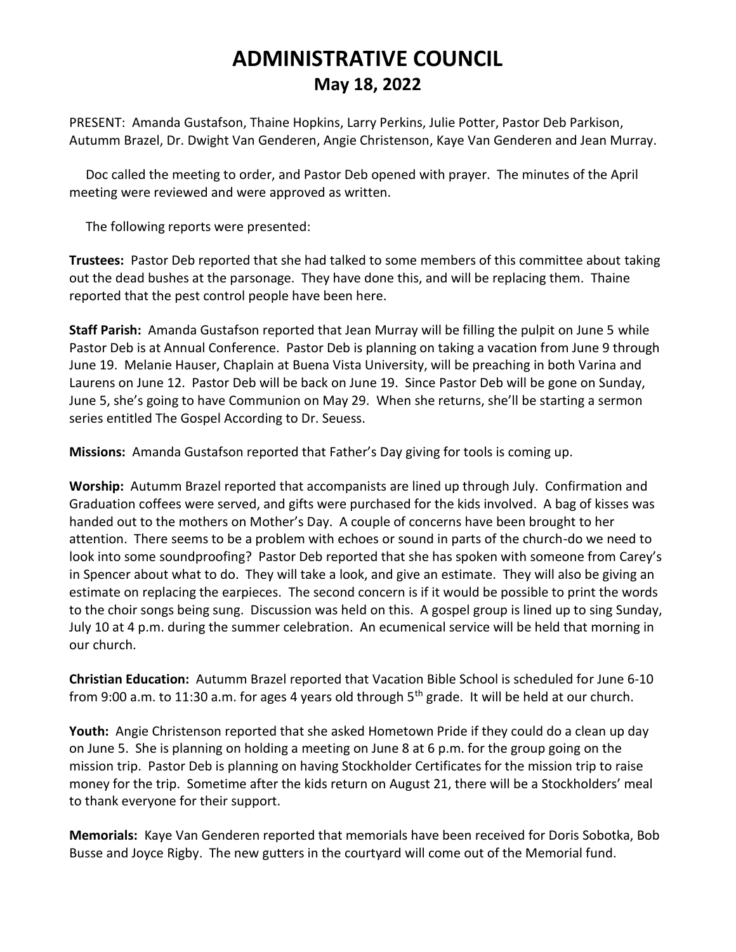## **ADMINISTRATIVE COUNCIL May 18, 2022**

PRESENT: Amanda Gustafson, Thaine Hopkins, Larry Perkins, Julie Potter, Pastor Deb Parkison, Autumm Brazel, Dr. Dwight Van Genderen, Angie Christenson, Kaye Van Genderen and Jean Murray.

 Doc called the meeting to order, and Pastor Deb opened with prayer. The minutes of the April meeting were reviewed and were approved as written.

The following reports were presented:

**Trustees:** Pastor Deb reported that she had talked to some members of this committee about taking out the dead bushes at the parsonage. They have done this, and will be replacing them. Thaine reported that the pest control people have been here.

**Staff Parish:** Amanda Gustafson reported that Jean Murray will be filling the pulpit on June 5 while Pastor Deb is at Annual Conference. Pastor Deb is planning on taking a vacation from June 9 through June 19. Melanie Hauser, Chaplain at Buena Vista University, will be preaching in both Varina and Laurens on June 12. Pastor Deb will be back on June 19. Since Pastor Deb will be gone on Sunday, June 5, she's going to have Communion on May 29. When she returns, she'll be starting a sermon series entitled The Gospel According to Dr. Seuess.

**Missions:** Amanda Gustafson reported that Father's Day giving for tools is coming up.

**Worship:** Autumm Brazel reported that accompanists are lined up through July. Confirmation and Graduation coffees were served, and gifts were purchased for the kids involved. A bag of kisses was handed out to the mothers on Mother's Day. A couple of concerns have been brought to her attention. There seems to be a problem with echoes or sound in parts of the church-do we need to look into some soundproofing? Pastor Deb reported that she has spoken with someone from Carey's in Spencer about what to do. They will take a look, and give an estimate. They will also be giving an estimate on replacing the earpieces. The second concern is if it would be possible to print the words to the choir songs being sung. Discussion was held on this. A gospel group is lined up to sing Sunday, July 10 at 4 p.m. during the summer celebration. An ecumenical service will be held that morning in our church.

**Christian Education:** Autumm Brazel reported that Vacation Bible School is scheduled for June 6-10 from 9:00 a.m. to 11:30 a.m. for ages 4 years old through  $5<sup>th</sup>$  grade. It will be held at our church.

**Youth:** Angie Christenson reported that she asked Hometown Pride if they could do a clean up day on June 5. She is planning on holding a meeting on June 8 at 6 p.m. for the group going on the mission trip. Pastor Deb is planning on having Stockholder Certificates for the mission trip to raise money for the trip. Sometime after the kids return on August 21, there will be a Stockholders' meal to thank everyone for their support.

**Memorials:** Kaye Van Genderen reported that memorials have been received for Doris Sobotka, Bob Busse and Joyce Rigby. The new gutters in the courtyard will come out of the Memorial fund.